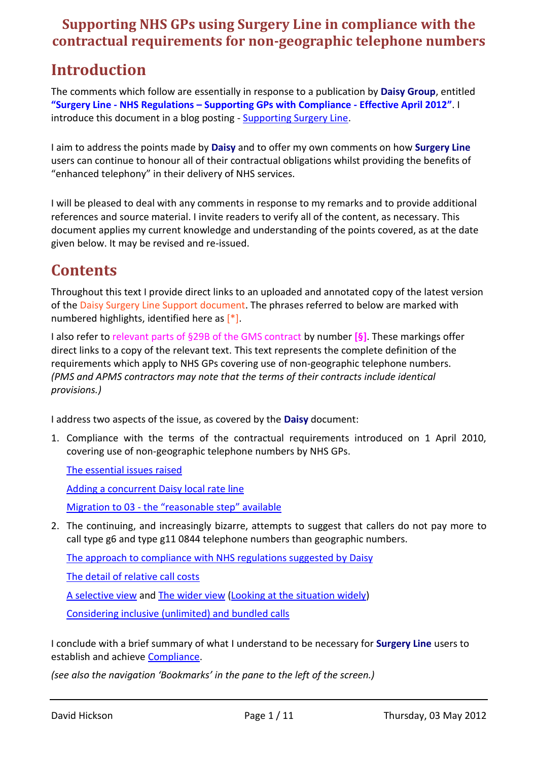## **Supporting NHS GPs using Surgery Line in compliance with the contractual requirements for non-geographic telephone numbers**

# **Introduction**

The comments which follow are essentially in response to a publication by **Daisy Group**, entitled **"Surgery Line - NHS Regulations – Supporting GPs with Compliance - Effective April 2012"**. I introduce this document in a blog posting - [Supporting Surgery Line.](http://nhspatient.blogspot.co.uk/2012/05/supporting-surgery-line.html)

I aim to address the points made by **Daisy** and to offer my own comments on how **Surgery Line** users can continue to honour all of their contractual obligations whilst providing the benefits of "enhanced telephony" in their delivery of NHS services.

I will be pleased to deal with any comments in response to my remarks and to provide additional references and source material. I invite readers to verify all of the content, as necessary. This document applies my current knowledge and understanding of the points covered, as at the date given below. It may be revised and re-issued.

# **Contents**

Throughout this text I provide direct links to an uploaded and annotated copy of the latest version of the Daisy Surgery Line Support document. The phrases referred to below are marked with numbered highlights, identified here as [\*].

I also refer to relevant parts of §29B of the GMS contract by number **[§]**. These markings offer direct links to a copy of the relevant text. This text represents the complete definition of the requirements which apply to NHS GPs covering use of non-geographic telephone numbers. *(PMS and APMS contractors may note that the terms of their contracts include identical provisions.)*

I address two aspects of the issue, as covered by the **Daisy** document:

1. Compliance with the terms of the contractual requirements introduced on 1 April 2010, covering use of non-geographic telephone numbers by NHS GPs.

[The essential issues raised](#page-1-0)

[Adding a concurrent Daisy local rate line](#page-2-0)

[Migration to 03 -](#page-2-1) the "reasonable step" available

2. The continuing, and increasingly bizarre, attempts to suggest that callers do not pay more to call type g6 and type g11 0844 telephone numbers than geographic numbers.

[The approach to compliance with NHS regulations suggested by Daisy](#page-5-0)

[The detail of relative call costs](#page-6-0)

[A selective view](#page-8-0) and [The wider view](#page-8-1) [\(Looking at the situation widely\)](#page-9-0)

[Considering inclusive \(unlimited\) and bundled calls](#page-9-1)

I conclude with a brief summary of what I understand to be necessary for **Surgery Line** users to establish and achieve [Compliance.](#page-10-0)

*(see also the navigation 'Bookmarks' in the pane to the left of the screen.)*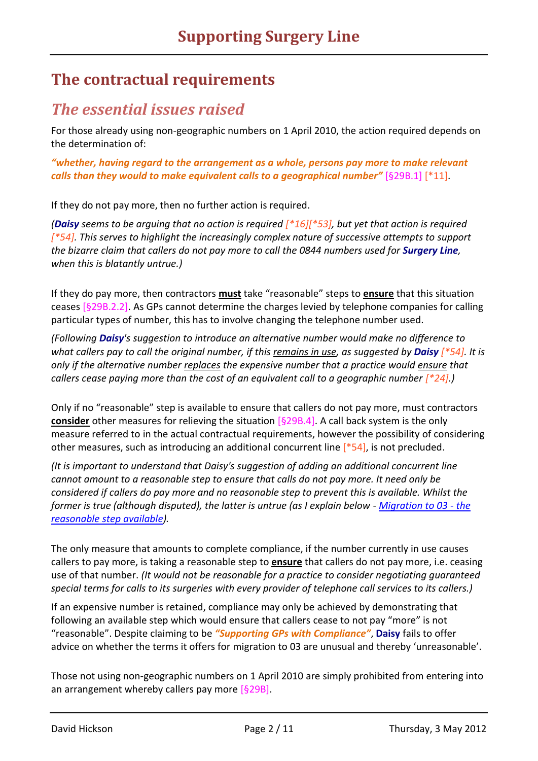## **The contractual requirements**

## <span id="page-1-0"></span>*The essential issues raised*

For those already using non-geographic numbers on 1 April 2010, the action required depends on the determination of:

*"whether, having regard to the arrangement as a whole, persons pay more to make relevant calls than they would to make equivalent calls to a geographical number"* [\[§29B.1\]](http://tinyurl.com/dhtiny/docs?gms29b.pdf#D29B1) [\[\\*11\]](http://tinyurl.com/dhtiny/docs?slsupapr.pdf#D10).

If they do not pay more, then no further action is required.

*(Daisy seems to be arguing that no action is required [\[\\*16\]](http://tinyurl.com/dhtiny/docs?slsupapr.pdf#D10)[\[\\*53\]](http://tinyurl.com/dhtiny/docs?slsupapr.pdf#D50), but yet that action is required [\[\\*54\]](http://tinyurl.com/dhtiny/docs?slsupapr.pdf#D50). This serves to highlight the increasingly complex nature of successive attempts to support the bizarre claim that callers do not pay more to call the 0844 numbers used for Surgery Line, when this is blatantly untrue.)*

If they do pay more, then contractors **must** take "reasonable" steps to **ensure** that this situation ceases [\[§29B.2.2\]](http://tinyurl.com/dhtiny/docs?gms29b.pdf#D29B2). As GPs cannot determine the charges levied by telephone companies for calling particular types of number, this has to involve changing the telephone number used.

*(Following Daisy's suggestion to introduce an alternative number would make no difference to what callers pay to call the original number, if this remains in use, as suggested by Daisy [\[\\*54\]](http://tinyurl.com/dhtiny/docs?slsupapr.pdf#D50). It is only if the alternative number replaces the expensive number that a practice would ensure that callers cease paying more than the cost of an equivalent call to a geographic number*  $[^{*}24]$ *.*)

Only if no "reasonable" step is available to ensure that callers do not pay more, must contractors **consider** other measures for relieving the situation [\[§29B.4\]](http://tinyurl.com/dhtiny/docs?gms29b.pdf#D29B4). A call back system is the only measure referred to in the actual contractual requirements, however the possibility of considering other measures, such as introducing an additional concurrent line [\[\\*54\]](http://tinyurl.com/dhtiny/docs?slsupapr.pdf#D50), is not precluded.

*(It is important to understand that Daisy's suggestion of adding an additional concurrent line cannot amount to a reasonable step to ensure that calls do not pay more. It need only be considered if callers do pay more and no reasonable step to prevent this is available. Whilst the former is true (although disputed), the latter is untrue (as I explain below - [Migration to 03 -](#page-3-0) the [reasonable step available\)](#page-3-0).*

The only measure that amounts to complete compliance, if the number currently in use causes callers to pay more, is taking a reasonable step to **ensure** that callers do not pay more, i.e. ceasing use of that number. *(It would not be reasonable for a practice to consider negotiating guaranteed special terms for calls to its surgeries with every provider of telephone call services to its callers.)*

If an expensive number is retained, compliance may only be achieved by demonstrating that following an available step which would ensure that callers cease to not pay "more" is not "reasonable". Despite claiming to be *"Supporting GPs with Compliance"*, **Daisy** fails to offer advice on whether the terms it offers for migration to 03 are unusual and thereby 'unreasonable'.

Those not using non-geographic numbers on 1 April 2010 are simply prohibited from entering into an arrangement whereby callers pay more [§29B].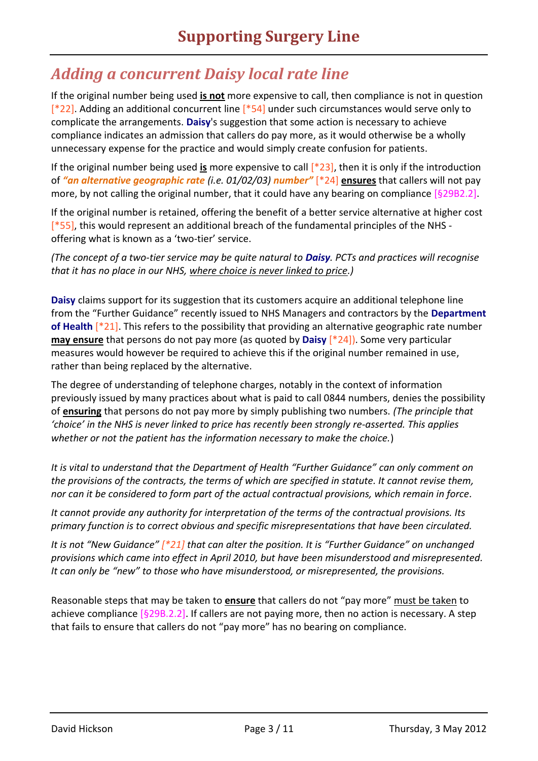# <span id="page-2-0"></span>*Adding a concurrent Daisy local rate line*

If the original number being used **is not** more expensive to call, then compliance is not in question [\[\\*22\]](http://tinyurl.com/dhtiny/docs?slsupapr.pdf#D20). Adding an additional concurrent line [\[\\*54\]](http://tinyurl.com/dhtiny/docs?slsupapr.pdf#D50) under such circumstances would serve only to complicate the arrangements. **Daisy**'s suggestion that some action is necessary to achieve compliance indicates an admission that callers do pay more, as it would otherwise be a wholly unnecessary expense for the practice and would simply create confusion for patients.

If the original number being used **is** more expensive to call [\[\\*23\]](http://tinyurl.com/dhtiny/docs?slsupapr.pdf#D20), then it is only if the introduction of *"an alternative geographic rate (i.e. 01/02/03) number"* [\[\\*24\]](http://tinyurl.com/dhtiny/docs?slsupapr.pdf#D20) **ensures** that callers will not pay more, by not calling the original number, that it could have any bearing on compliance [\[§29B2.2\]](http://tinyurl.com/dhtiny/docs?gms29b.pdf#D29B2).

If the original number is retained, offering the benefit of a better service alternative at higher cost  $[$ \*55], this would represent an additional breach of the fundamental principles of the NHS offering what is known as a 'two-tier' service.

*(The concept of a two-tier service may be quite natural to Daisy. PCTs and practices will recognise that it has no place in our NHS, where choice is never linked to price.)*

**Daisy** claims support for its suggestion that its customers acquire an additional telephone line from the "Further Guidance" recently issued to NHS Managers and contractors by the **Department of Health** [\[\\*21\]](http://tinyurl.com/dhtiny/docs?slsupapr.pdf#D20). This refers to the possibility that providing an alternative geographic rate number **may ensure** that persons do not pay more (as quoted by **Daisy** [\[\\*24\]](http://tinyurl.com/dhtiny/docs?slsupapr.pdf#D20)). Some very particular measures would however be required to achieve this if the original number remained in use, rather than being replaced by the alternative.

The degree of understanding of telephone charges, notably in the context of information previously issued by many practices about what is paid to call 0844 numbers, denies the possibility of **ensuring** that persons do not pay more by simply publishing two numbers. *(The principle that 'choice' in the NHS is never linked to price has recently been strongly re-asserted. This applies whether or not the patient has the information necessary to make the choice.*)

*It is vital to understand that the Department of Health "Further Guidance" can only comment on the provisions of the contracts, the terms of which are specified in statute. It cannot revise them, nor can it be considered to form part of the actual contractual provisions, which remain in force.*

*It cannot provide any authority for interpretation of the terms of the contractual provisions. Its primary function is to correct obvious and specific misrepresentations that have been circulated.*

*It is not "New Guidance" [\[\\*21\]](http://tinyurl.com/dhtiny/docs?slsupapr.pdf#D20) that can alter the position. It is "Further Guidance" on unchanged provisions which came into effect in April 2010, but have been misunderstood and misrepresented. It can only be "new" to those who have misunderstood, or misrepresented, the provisions.*

<span id="page-2-1"></span>Reasonable steps that may be taken to **ensure** that callers do not "pay more" must be taken to achieve compliance  $[§29B.2.2]$ . If callers are not paying more, then no action is necessary. A step that fails to ensure that callers do not "pay more" has no bearing on compliance.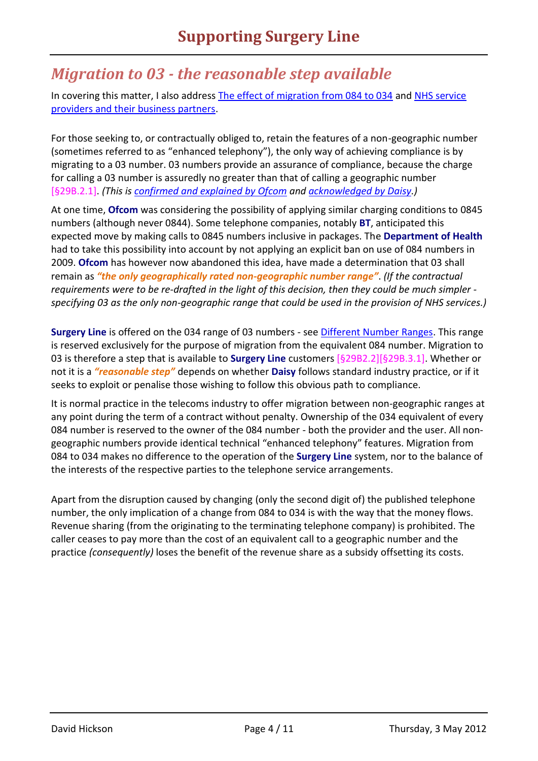## <span id="page-3-0"></span>*Migration to 03 - the reasonable step available*

In covering this matter, I also address [The effect of migration from 084 to 034](#page-3-1) and [NHS service](#page-4-0)  [providers and their business partners.](#page-4-0)

For those seeking to, or contractually obliged to, retain the features of a non-geographic number (sometimes referred to as "enhanced telephony"), the only way of achieving compliance is by migrating to a 03 number. 03 numbers provide an assurance of compliance, because the charge for calling a 03 number is assuredly no greater than that of calling a geographic number [\[§29B.2.1\]](http://tinyurl.com/dhtiny/docs?gms29b.pdf#D29B2). *(This is [confirmed and explained by Ofcom](http://consumers.ofcom.org.uk/2008/12/the-03-alternative/) and [acknowledged by Daisy.](http://www.daisygroupplc.com/03-bundles))*

At one time, **Ofcom** was considering the possibility of applying similar charging conditions to 0845 numbers (although never 0844). Some telephone companies, notably **BT**, anticipated this expected move by making calls to 0845 numbers inclusive in packages. The **Department of Health** had to take this possibility into account by not applying an explicit ban on use of 084 numbers in 2009. **Ofcom** has however now abandoned this idea, have made a determination that 03 shall remain as *"the only geographically rated non-geographic number range"*. *(If the contractual requirements were to be re-drafted in the light of this decision, then they could be much simpler specifying 03 as the only non-geographic range that could be used in the provision of NHS services.)*

**Surgery Line** is offered on the 034 range of 03 numbers - see [Different Number Ranges.](http://www.networkeuropegroup.com/DifferentNumberRanges.html) This range is reserved exclusively for the purpose of migration from the equivalent 084 number. Migration to 03 is therefore a step that is available to **Surgery Line** customers [\[§29B2.2\]\[§29B.3.1\]](http://tinyurl.com/dhtiny/docs?gms29b.pdf#D29B2). Whether or not it is a *"reasonable step"* depends on whether **Daisy** follows standard industry practice, or if it seeks to exploit or penalise those wishing to follow this obvious path to compliance.

It is normal practice in the telecoms industry to offer migration between non-geographic ranges at any point during the term of a contract without penalty. Ownership of the 034 equivalent of every 084 number is reserved to the owner of the 084 number - both the provider and the user. All nongeographic numbers provide identical technical "enhanced telephony" features. Migration from 084 to 034 makes no difference to the operation of the **Surgery Line** system, nor to the balance of the interests of the respective parties to the telephone service arrangements.

<span id="page-3-1"></span>Apart from the disruption caused by changing (only the second digit of) the published telephone number, the only implication of a change from 084 to 034 is with the way that the money flows. Revenue sharing (from the originating to the terminating telephone company) is prohibited. The caller ceases to pay more than the cost of an equivalent call to a geographic number and the practice *(consequently)* loses the benefit of the revenue share as a subsidy offsetting its costs.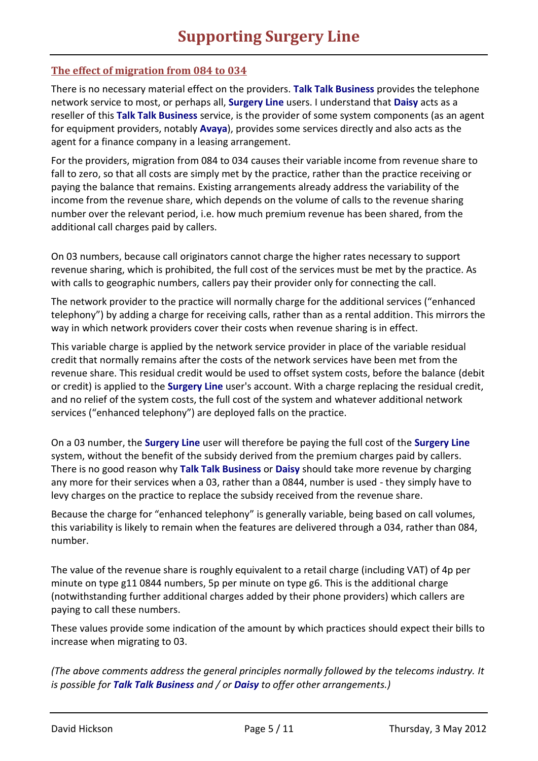#### **The effect of migration from 084 to 034**

There is no necessary material effect on the providers. **Talk Talk Business** provides the telephone network service to most, or perhaps all, **Surgery Line** users. I understand that **Daisy** acts as a reseller of this **Talk Talk Business** service, is the provider of some system components (as an agent for equipment providers, notably **Avaya**), provides some services directly and also acts as the agent for a finance company in a leasing arrangement.

For the providers, migration from 084 to 034 causes their variable income from revenue share to fall to zero, so that all costs are simply met by the practice, rather than the practice receiving or paying the balance that remains. Existing arrangements already address the variability of the income from the revenue share, which depends on the volume of calls to the revenue sharing number over the relevant period, i.e. how much premium revenue has been shared, from the additional call charges paid by callers.

On 03 numbers, because call originators cannot charge the higher rates necessary to support revenue sharing, which is prohibited, the full cost of the services must be met by the practice. As with calls to geographic numbers, callers pay their provider only for connecting the call.

The network provider to the practice will normally charge for the additional services ("enhanced telephony") by adding a charge for receiving calls, rather than as a rental addition. This mirrors the way in which network providers cover their costs when revenue sharing is in effect.

This variable charge is applied by the network service provider in place of the variable residual credit that normally remains after the costs of the network services have been met from the revenue share. This residual credit would be used to offset system costs, before the balance (debit or credit) is applied to the **Surgery Line** user's account. With a charge replacing the residual credit, and no relief of the system costs, the full cost of the system and whatever additional network services ("enhanced telephony") are deployed falls on the practice.

On a 03 number, the **Surgery Line** user will therefore be paying the full cost of the **Surgery Line** system, without the benefit of the subsidy derived from the premium charges paid by callers. There is no good reason why **Talk Talk Business** or **Daisy** should take more revenue by charging any more for their services when a 03, rather than a 0844, number is used - they simply have to levy charges on the practice to replace the subsidy received from the revenue share.

Because the charge for "enhanced telephony" is generally variable, being based on call volumes, this variability is likely to remain when the features are delivered through a 034, rather than 084, number.

The value of the revenue share is roughly equivalent to a retail charge (including VAT) of 4p per minute on type g11 0844 numbers, 5p per minute on type g6. This is the additional charge (notwithstanding further additional charges added by their phone providers) which callers are paying to call these numbers.

These values provide some indication of the amount by which practices should expect their bills to increase when migrating to 03.

<span id="page-4-0"></span>*(The above comments address the general principles normally followed by the telecoms industry. It is possible for Talk Talk Business and / or Daisy to offer other arrangements.)*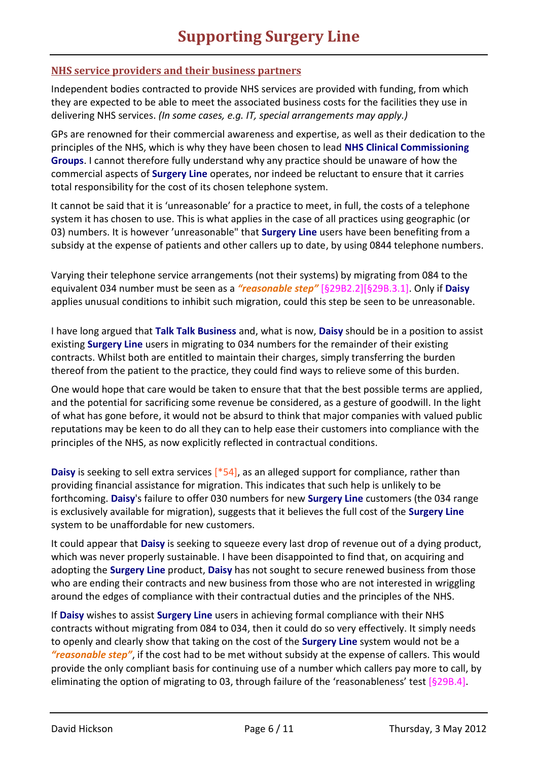#### <span id="page-5-1"></span>**NHS service providers and their business partners**

Independent bodies contracted to provide NHS services are provided with funding, from which they are expected to be able to meet the associated business costs for the facilities they use in delivering NHS services. *(In some cases, e.g. IT, special arrangements may apply.)*

GPs are renowned for their commercial awareness and expertise, as well as their dedication to the principles of the NHS, which is why they have been chosen to lead **NHS Clinical Commissioning Groups**. I cannot therefore fully understand why any practice should be unaware of how the commercial aspects of **Surgery Line** operates, nor indeed be reluctant to ensure that it carries total responsibility for the cost of its chosen telephone system.

It cannot be said that it is 'unreasonable' for a practice to meet, in full, the costs of a telephone system it has chosen to use. This is what applies in the case of all practices using geographic (or 03) numbers. It is however 'unreasonable" that **Surgery Line** users have been benefiting from a subsidy at the expense of patients and other callers up to date, by using 0844 telephone numbers.

Varying their telephone service arrangements (not their systems) by migrating from 084 to the equivalent 034 number must be seen as a *"reasonable step"* [\[§29B2.2\]\[§29B.3.1\]](http://tinyurl.com/dhtiny/docs?gms29b.pdf#D29B2). Only if **Daisy** applies unusual conditions to inhibit such migration, could this step be seen to be unreasonable.

I have long argued that **Talk Talk Business** and, what is now, **Daisy** should be in a position to assist existing **Surgery Line** users in migrating to 034 numbers for the remainder of their existing contracts. Whilst both are entitled to maintain their charges, simply transferring the burden thereof from the patient to the practice, they could find ways to relieve some of this burden.

One would hope that care would be taken to ensure that that the best possible terms are applied, and the potential for sacrificing some revenue be considered, as a gesture of goodwill. In the light of what has gone before, it would not be absurd to think that major companies with valued public reputations may be keen to do all they can to help ease their customers into compliance with the principles of the NHS, as now explicitly reflected in contractual conditions.

**Daisy** is seeking to sell extra services [\[\\*54\]](http://tinyurl.com/dhtiny/docs?slsupapr.pdf#D50), as an alleged support for compliance, rather than providing financial assistance for migration. This indicates that such help is unlikely to be forthcoming. **Daisy**'s failure to offer 030 numbers for new **Surgery Line** customers (the 034 range is exclusively available for migration), suggests that it believes the full cost of the **Surgery Line** system to be unaffordable for new customers.

It could appear that **Daisy** is seeking to squeeze every last drop of revenue out of a dying product, which was never properly sustainable. I have been disappointed to find that, on acquiring and adopting the **Surgery Line** product, **Daisy** has not sought to secure renewed business from those who are ending their contracts and new business from those who are not interested in wriggling around the edges of compliance with their contractual duties and the principles of the NHS.

<span id="page-5-0"></span>If **Daisy** wishes to assist **Surgery Line** users in achieving formal compliance with their NHS contracts without migrating from 084 to 034, then it could do so very effectively. It simply needs to openly and clearly show that taking on the cost of the **Surgery Line** system would not be a *"reasonable step"*, if the cost had to be met without subsidy at the expense of callers. This would provide the only compliant basis for continuing use of a number which callers pay more to call, by eliminating the option of migrating to 03, through failure of the 'reasonableness' test [\[§29B.4\]](http://tinyurl.com/dhtiny/docs?gms29b.pdf#D29B4).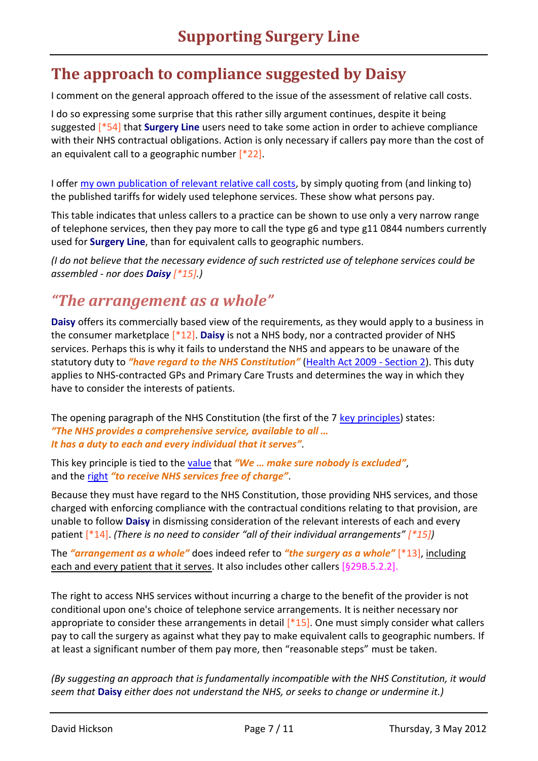## **The approach to compliance suggested by Daisy**

I comment on the general approach offered to the issue of the assessment of relative call costs.

I do so expressing some surprise that this rather silly argument continues, despite it being suggested [\[\\*54\]](http://tinyurl.com/dhtiny/docs?slsupapr.pdf#D50) that **Surgery Line** users need to take some action in order to achieve compliance with their NHS contractual obligations. Action is only necessary if callers pay more than the cost of an equivalent call to a geographic number  $[*22]$ .

I offer [my own publication of relevant relative call costs,](http://tiny.cc/GP084Costs) by simply quoting from (and linking to) the published tariffs for widely used telephone services. These show what persons pay.

This table indicates that unless callers to a practice can be shown to use only a very narrow range of telephone services, then they pay more to call the type g6 and type g11 0844 numbers currently used for **Surgery Line**, than for equivalent calls to geographic numbers.

*(I do not believe that the necessary evidence of such restricted use of telephone services could be assembled - nor does Daisy [\[\\*15\]](http://tinyurl.com/dhtiny/docs?slsupapr.pdf#D10).)*

## *"The arrangement as a whole"*

**Daisy** offers its commercially based view of the requirements, as they would apply to a business in the consumer marketplace [\[\\*12\]](http://tinyurl.com/dhtiny/docs?slsupapr.pdf#D10). **Daisy** is not a NHS body, nor a contracted provider of NHS services. Perhaps this is why it fails to understand the NHS and appears to be unaware of the statutory duty to *"have regard to the NHS Constitution"* [\(Health Act 2009 -](http://www.legislation.gov.uk/ukpga/2009/21/section/2) Section 2). This duty applies to NHS-contracted GPs and Primary Care Trusts and determines the way in which they have to consider the interests of patients.

The opening paragraph of the NHS Constitution (the first of the 7 [key principles\)](http://www.dh.gov.uk/prod_consum_dh/groups/dh_digitalassets/@dh/@en/@ps/documents/digitalasset/dh_113645.pdf#page=3) states: *"The NHS provides a comprehensive service, available to all … It has a duty to each and every individual that it serves"*.

This key principle is tied to th[e value](http://www.dh.gov.uk/prod_consum_dh/groups/dh_digitalassets/@dh/@en/@ps/documents/digitalasset/dh_113645.pdf#page=12) that *"We … make sure nobody is excluded"*, and the [right](http://www.dh.gov.uk/prod_consum_dh/groups/dh_digitalassets/@dh/@en/@ps/documents/digitalasset/dh_113645.pdf#page=12) *"to receive NHS services free of charge"*.

Because they must have regard to the NHS Constitution, those providing NHS services, and those charged with enforcing compliance with the contractual conditions relating to that provision, are unable to follow **Daisy** in dismissing consideration of the relevant interests of each and every patient [\[\\*14\]](http://tinyurl.com/dhtiny/docs?slsupapr.pdf#D10). *(There is no need to consider "all of their individual arrangements" [\[\\*15\]](http://tinyurl.com/dhtiny/docs?slsupapr.pdf#D10))*

The *"arrangement as a whole"* does indeed refer to *"the surgery as a whole"* [\[\\*13\]](http://tinyurl.com/dhtiny/docs?slsupapr.pdf#D10), including each and every patient that it serves. It also includes other callers [\[§29B.5.2.2\]](http://tinyurl.com/dhtiny/docs?gms29b.pdf#D29B4).

The right to access NHS services without incurring a charge to the benefit of the provider is not conditional upon one's choice of telephone service arrangements. It is neither necessary nor appropriate to consider these arrangements in detail  $[*15]$ . One must simply consider what callers pay to call the surgery as against what they pay to make equivalent calls to geographic numbers. If at least a significant number of them pay more, then "reasonable steps" must be taken.

<span id="page-6-0"></span>*(By suggesting an approach that is fundamentally incompatible with the NHS Constitution, it would seem that* **Daisy** *either does not understand the NHS, or seeks to change or undermine it.)*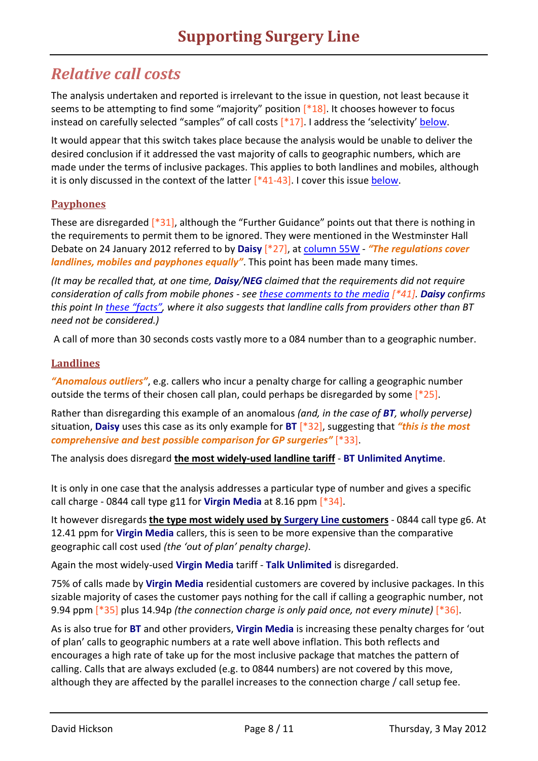## *Relative call costs*

The analysis undertaken and reported is irrelevant to the issue in question, not least because it seems to be attempting to find some "majority" position  $[*18]$ . It chooses however to focus instead on carefully selected "samples" of call costs  $[*17]$ . I address the 'selectivity' [below.](#page-8-0)

It would appear that this switch takes place because the analysis would be unable to deliver the desired conclusion if it addressed the vast majority of calls to geographic numbers, which are made under the terms of inclusive packages. This applies to both landlines and mobiles, although it is only discussed in the context of the latter  $[44-43]$ . I cover this issue [below.](#page-9-1)

### **Payphones**

These are disregarded [\[\\*31\]](http://tinyurl.com/dhtiny/docs?slsupapr.pdf#D30), although the "Further Guidance" points out that there is nothing in the requirements to permit them to be ignored. They were mentioned in the Westminster Hall Debate on 24 January 2012 referred to by **Daisy** [\[\\*27\]](http://tinyurl.com/dhtiny/docs?slsupapr.pdf#D20), at [column 55W](http://www.publications.parliament.uk/pa/cm201212/cmhansrd/cm120124/halltext/120124h0002.htm#stpa_239) - *"The regulations cover landlines, mobiles and payphones equally"*. This point has been made many times.

*(It may be recalled that, at one time, Daisy/NEG claimed that the requirements did not require consideration of calls from mobile phones - see [these comments to the media](http://www.leamingtoncourier.co.uk/news/local/company-defends-charges-for-calling-gp-practices-1-2638960) [\[\\*41\]](http://tinyurl.com/dhtiny/docs?slsupapr.pdf#D40). Daisy confirms this point In [these](http://www.wyesurgery.co.uk/website/G82142/files/Leaflet.pdf) "facts", where it also suggests that landline calls from providers other than BT need not be considered.)*

A call of more than 30 seconds costs vastly more to a 084 number than to a geographic number.

### **Landlines**

*"Anomalous outliers"*, e.g. callers who incur a penalty charge for calling a geographic number outside the terms of their chosen call plan, could perhaps be disregarded by some  $[*25]$ .

Rather than disregarding this example of an anomalous *(and, in the case of BT, wholly perverse)* situation, **Daisy** uses this case as its only example for **BT** [\[\\*32\]](http://tinyurl.com/dhtiny/docs?slsupapr.pdf#D30), suggesting that *"this is the most comprehensive and best possible comparison for GP surgeries"* [\[\\*33\]](http://tinyurl.com/dhtiny/docs?slsupapr.pdf#D30).

The analysis does disregard **the most widely-used landline tariff** - **BT Unlimited Anytime**.

It is only in one case that the analysis addresses a particular type of number and gives a specific call charge - 0844 call type g11 for **Virgin Media** at 8.16 ppm [\[\\*34\]](http://tinyurl.com/dhtiny/docs?slsupapr.pdf#D30).

It however disregards **the type most widely used by Surgery Line customers** - 0844 call type g6. At 12.41 ppm for **Virgin Media** callers, this is seen to be more expensive than the comparative geographic call cost used *(the 'out of plan' penalty charge)*.

Again the most widely-used **Virgin Media** tariff - **Talk Unlimited** is disregarded.

75% of calls made by **Virgin Media** residential customers are covered by inclusive packages. In this sizable majority of cases the customer pays nothing for the call if calling a geographic number, not 9.94 ppm [\[\\*35\]](http://tinyurl.com/dhtiny/docs?slsupapr.pdf#D30) plus 14.94p *(the connection charge is only paid once, not every minute)* [\[\\*36\]](http://tinyurl.com/dhtiny/docs?slsupapr.pdf#D30).

As is also true for **BT** and other providers, **Virgin Media** is increasing these penalty charges for 'out of plan' calls to geographic numbers at a rate well above inflation. This both reflects and encourages a high rate of take up for the most inclusive package that matches the pattern of calling. Calls that are always excluded (e.g. to 0844 numbers) are not covered by this move, although they are affected by the parallel increases to the connection charge / call setup fee.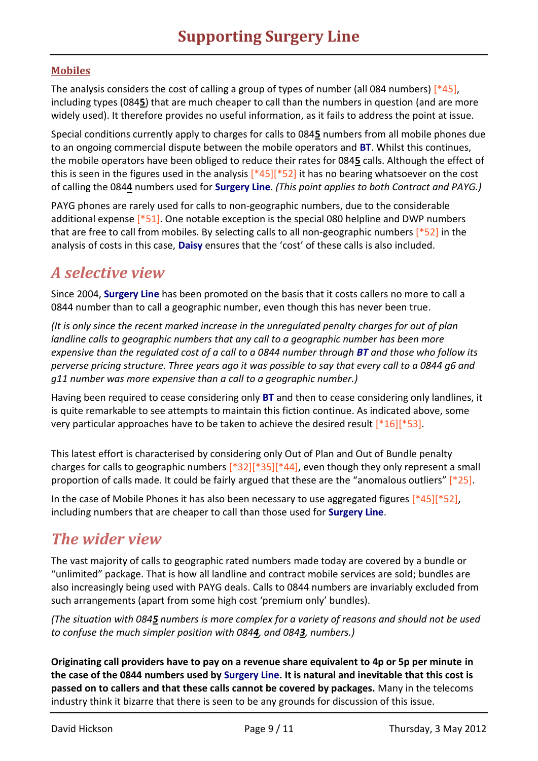### **Mobiles**

The analysis considers the cost of calling a group of types of number (all 084 numbers) [\[\\*45\]](http://tinyurl.com/dhtiny/docs?slsupapr.pdf#D40), including types (084**5**) that are much cheaper to call than the numbers in question (and are more widely used). It therefore provides no useful information, as it fails to address the point at issue.

Special conditions currently apply to charges for calls to 084**5** numbers from all mobile phones due to an ongoing commercial dispute between the mobile operators and **BT**. Whilst this continues, the mobile operators have been obliged to reduce their rates for 084**5** calls. Although the effect of this is seen in the figures used in the analysis  $[445][452]$  it has no bearing whatsoever on the cost of calling the 084**4** numbers used for **Surgery Line**. *(This point applies to both Contract and PAYG.)*

PAYG phones are rarely used for calls to non-geographic numbers, due to the considerable additional expense  $\lceil *51 \rceil$ . One notable exception is the special 080 helpline and DWP numbers that are free to call from mobiles. By selecting calls to all non-geographic numbers [\[\\*52\]](http://tinyurl.com/dhtiny/docs?slsupapr.pdf#D50) in the analysis of costs in this case, **Daisy** ensures that the 'cost' of these calls is also included.

## <span id="page-8-0"></span>*A selective view*

Since 2004, **Surgery Line** has been promoted on the basis that it costs callers no more to call a 0844 number than to call a geographic number, even though this has never been true.

*(It is only since the recent marked increase in the unregulated penalty charges for out of plan landline calls to geographic numbers that any call to a geographic number has been more expensive than the regulated cost of a call to a 0844 number through BT and those who follow its perverse pricing structure. Three years ago it was possible to say that every call to a 0844 g6 and g11 number was more expensive than a call to a geographic number.)*

Having been required to cease considering only **BT** and then to cease considering only landlines, it is quite remarkable to see attempts to maintain this fiction continue. As indicated above, some very particular approaches have to be taken to achieve the desired result  $[*16][*53]$  $[*16][*53]$ .

This latest effort is characterised by considering only Out of Plan and Out of Bundle penalty charges for calls to geographic numbers  $[*32][*35][*44]$  $[*32][*35][*44]$ , even though they only represent a small proportion of calls made. It could be fairly argued that these are the "anomalous outliers" [\[\\*25\]](http://tinyurl.com/dhtiny/docs?slsupapr.pdf#D20).

In the case of Mobile Phones it has also been necessary to use aggregated figures  $[*45][*52]$  $[*45][*52]$ , including numbers that are cheaper to call than those used for **Surgery Line**.

## <span id="page-8-1"></span>*The wider view*

The vast majority of calls to geographic rated numbers made today are covered by a bundle or "unlimited" package. That is how all landline and contract mobile services are sold; bundles are also increasingly being used with PAYG deals. Calls to 0844 numbers are invariably excluded from such arrangements (apart from some high cost 'premium only' bundles).

*(The situation with 0845 numbers is more complex for a variety of reasons and should not be used to confuse the much simpler position with 0844, and 0843, numbers.)*

**Originating call providers have to pay on a revenue share equivalent to 4p or 5p per minute in the case of the 0844 numbers used by Surgery Line. It is natural and inevitable that this cost is passed on to callers and that these calls cannot be covered by packages.** Many in the telecoms industry think it bizarre that there is seen to be any grounds for discussion of this issue.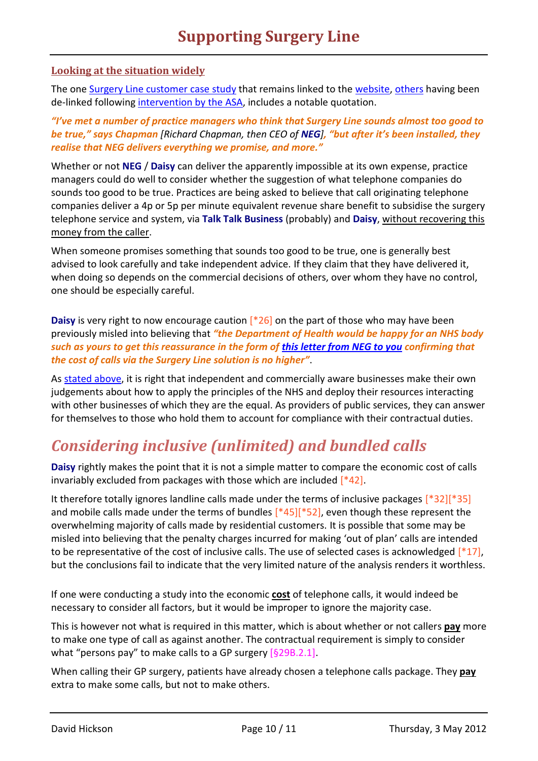#### <span id="page-9-0"></span>**Looking at the situation widely**

The one [Surgery Line customer case study](http://www.networkeuropegroup.com/pdf/gps/practice-managers.pdf) that remains linked to the [website,](http://www.networkeuropegroup.com/gps-case-studies.html) [others](https://www.google.co.uk/search?q=site%3Awww.networkeuropegroup.com%2Fpdf%2Fgps%2F) having been de-linked followin[g intervention by the ASA,](http://www.asa.org.uk/ASA-action/Adjudications/Advanced-Search.aspx?Start=12/7/2011&End=12/7/2011&Advertiser=NEG%20Ltd&Medias=20#2) includes a notable quotation.

*"I've met a number of practice managers who think that Surgery Line sounds almost too good to be true," says Chapman [Richard Chapman, then CEO of NEG], "but after it's been installed, they realise that NEG delivers everything we promise, and more."*

Whether or not **NEG** / **Daisy** can deliver the apparently impossible at its own expense, practice managers could do well to consider whether the suggestion of what telephone companies do sounds too good to be true. Practices are being asked to believe that call originating telephone companies deliver a 4p or 5p per minute equivalent revenue share benefit to subsidise the surgery telephone service and system, via **Talk Talk Business** (probably) and **Daisy**, without recovering this money from the caller.

When someone promises something that sounds too good to be true, one is generally best advised to look carefully and take independent advice. If they claim that they have delivered it, when doing so depends on the commercial decisions of others, over whom they have no control, one should be especially careful.

**Daisy** is very right to now encourage caution  $[26]$  on the part of those who may have been previously misled into believing that *"the Department of Health would be happy for an NHS body such as yours to get this reassurance in the form of [this letter from NEG to you](http://homepage.ntlworld.com/davidhickson/NHS.Patient/NEG%20Letter%2020100119.pdf) confirming that the cost of calls via the Surgery Line solution is no higher"*.

As [stated above,](#page-5-1) it is right that independent and commercially aware businesses make their own judgements about how to apply the principles of the NHS and deploy their resources interacting with other businesses of which they are the equal. As providers of public services, they can answer for themselves to those who hold them to account for compliance with their contractual duties.

# <span id="page-9-1"></span>*Considering inclusive (unlimited) and bundled calls*

**Daisy** rightly makes the point that it is not a simple matter to compare the economic cost of calls invariably excluded from packages with those which are included [\[\\*42\]](http://tinyurl.com/dhtiny/docs?slsupapr.pdf#D40).

It therefore totally ignores landline calls made under the terms of inclusive packages [\[\\*32\]\[\\*35\]](http://tinyurl.com/dhtiny/docs?slsupapr.pdf#D30) and mobile calls made under the terms of bundles [\[\\*45\]](http://tinyurl.com/dhtiny/docs?slsupapr.pdf#D40)[\[\\*52\]](http://tinyurl.com/dhtiny/docs?slsupapr.pdf#D50), even though these represent the overwhelming majority of calls made by residential customers. It is possible that some may be misled into believing that the penalty charges incurred for making 'out of plan' calls are intended to be representative of the cost of inclusive calls. The use of selected cases is acknowledged  $[*17]$ , but the conclusions fail to indicate that the very limited nature of the analysis renders it worthless.

If one were conducting a study into the economic **cost** of telephone calls, it would indeed be necessary to consider all factors, but it would be improper to ignore the majority case.

This is however not what is required in this matter, which is about whether or not callers **pay** more to make one type of call as against another. The contractual requirement is simply to consider what "persons pay" to make calls to a GP surgery [\[§29B.2.1\]](http://tinyurl.com/dhtiny/docs?gms29b.pdf#D29B2).

When calling their GP surgery, patients have already chosen a telephone calls package. They **pay** extra to make some calls, but not to make others.